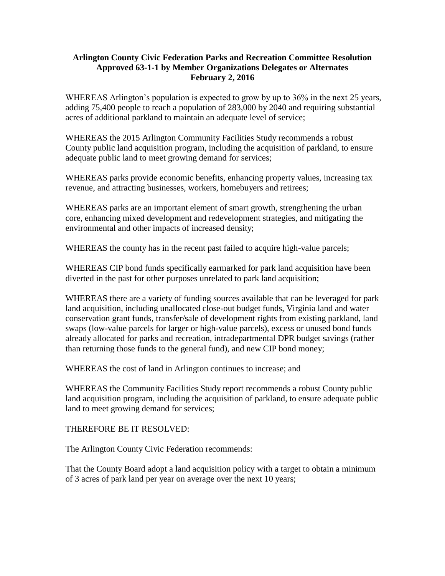## **Arlington County Civic Federation Parks and Recreation Committee Resolution Approved 63-1-1 by Member Organizations Delegates or Alternates February 2, 2016**

WHEREAS Arlington's population is expected to grow by up to 36% in the next 25 years, adding 75,400 people to reach a population of 283,000 by 2040 and requiring substantial acres of additional parkland to maintain an adequate level of service;

WHEREAS the 2015 Arlington Community Facilities Study recommends a robust County public land acquisition program, including the acquisition of parkland, to ensure adequate public land to meet growing demand for services;

WHEREAS parks provide economic benefits, enhancing property values, increasing tax revenue, and attracting businesses, workers, homebuyers and retirees;

WHEREAS parks are an important element of smart growth, strengthening the urban core, enhancing mixed development and redevelopment strategies, and mitigating the environmental and other impacts of increased density;

WHEREAS the county has in the recent past failed to acquire high-value parcels;

WHEREAS CIP bond funds specifically earmarked for park land acquisition have been diverted in the past for other purposes unrelated to park land acquisition;

WHEREAS there are a variety of funding sources available that can be leveraged for park land acquisition, including unallocated close-out budget funds, Virginia land and water conservation grant funds, transfer/sale of development rights from existing parkland, land swaps (low-value parcels for larger or high-value parcels), excess or unused bond funds already allocated for parks and recreation, intradepartmental DPR budget savings (rather than returning those funds to the general fund), and new CIP bond money;

WHEREAS the cost of land in Arlington continues to increase; and

WHEREAS the Community Facilities Study report recommends a robust County public land acquisition program, including the acquisition of parkland, to ensure adequate public land to meet growing demand for services;

THEREFORE BE IT RESOLVED:

The Arlington County Civic Federation recommends:

That the County Board adopt a land acquisition policy with a target to obtain a minimum of 3 acres of park land per year on average over the next 10 years;